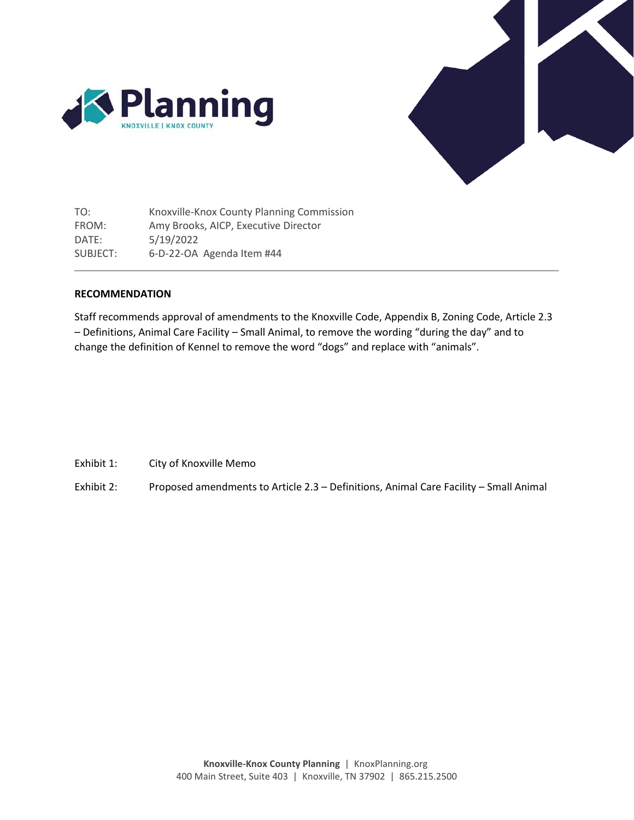



TO: Knoxville-Knox County Planning Commission FROM: Amy Brooks, AICP, Executive Director DATE: 5/19/2022 SUBJECT: 6-D-22-OA Agenda Item #44

## **RECOMMENDATION**

Staff recommends approval of amendments to the Knoxville Code, Appendix B, Zoning Code, Article 2.3 – Definitions, Animal Care Facility – Small Animal, to remove the wording "during the day" and to change the definition of Kennel to remove the word "dogs" and replace with "animals".

- Exhibit 1: City of Knoxville Memo
- Exhibit 2: Proposed amendments to Article 2.3 Definitions, Animal Care Facility Small Animal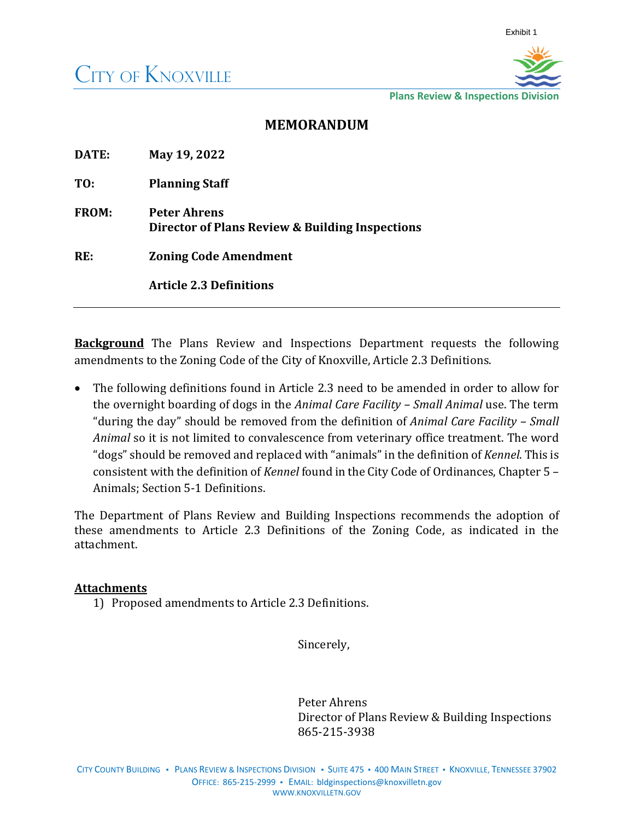

**Plans Review & Inspections Division**

## **MEMORANDUM**

| DATE:        | May 19, 2022                                                           |
|--------------|------------------------------------------------------------------------|
| TO:          | <b>Planning Staff</b>                                                  |
| <b>FROM:</b> | <b>Peter Ahrens</b><br>Director of Plans Review & Building Inspections |
| RE:          | <b>Zoning Code Amendment</b>                                           |
|              | <b>Article 2.3 Definitions</b>                                         |

**Background** The Plans Review and Inspections Department requests the following amendments to the Zoning Code of the City of Knoxville, Article 2.3 Definitions.

• The following definitions found in Article 2.3 need to be amended in order to allow for the overnight boarding of dogs in the *Animal Care Facility – Small Animal* use. The term "during the day" should be removed from the definition of *Animal Care Facility – Small Animal* so it is not limited to convalescence from veterinary office treatment. The word "dogs" should be removed and replaced with "animals" in the definition of *Kennel*. This is consistent with the definition of *Kennel* found in the City Code of Ordinances, Chapter 5 – Animals; Section 5-1 Definitions.

The Department of Plans Review and Building Inspections recommends the adoption of these amendments to Article 2.3 Definitions of the Zoning Code, as indicated in the attachment.

## **Attachments**

1) Proposed amendments to Article 2.3 Definitions.

Sincerely,

Peter Ahrens Director of Plans Review & Building Inspections 865-215-3938